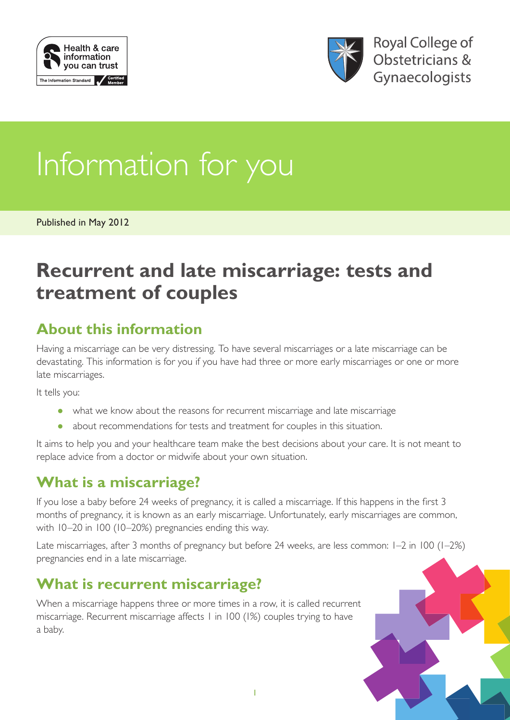



# Information for you

Published in May 2012

# **Recurrent and late miscarriage: tests and treatment of couples**

# **About this information**

Having a miscarriage can be very distressing. To have several miscarriages or a late miscarriage can be devastating. This information is for you if you have had three or more early miscarriages or one or more late miscarriages.

It tells you:

- what we know about the reasons for recurrent miscarriage and late miscarriage
- about recommendations for tests and treatment for couples in this situation.

It aims to help you and your healthcare team make the best decisions about your care. It is not meant to replace advice from a doctor or midwife about your own situation.

# **What is a miscarriage?**

If you lose a baby before 24 weeks of pregnancy, it is called a miscarriage. If this happens in the first 3 months of pregnancy, it is known as an early miscarriage. Unfortunately, early miscarriages are common, with 10–20 in 100 (10–20%) pregnancies ending this way.

Late miscarriages, after 3 months of pregnancy but before 24 weeks, are less common: 1–2 in 100 (1–2%) pregnancies end in a late miscarriage.

# **What is recurrent miscarriage?**

When a miscarriage happens three or more times in a row, it is called recurrent miscarriage. Recurrent miscarriage affects 1 in 100 (1%) couples trying to have a baby.

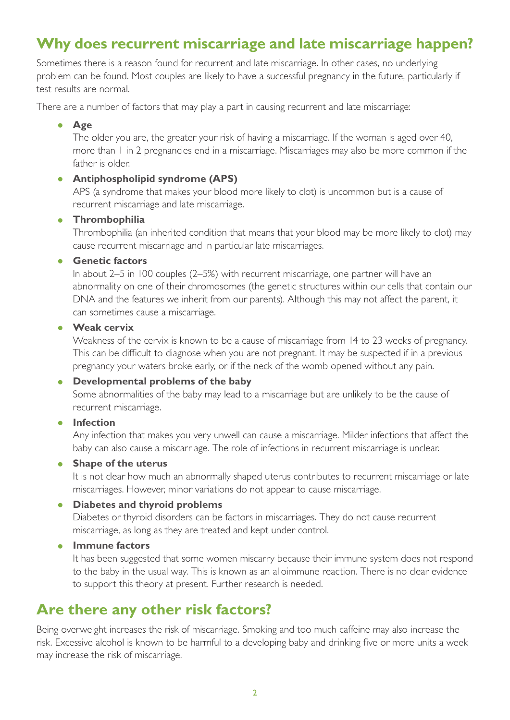# **Why does recurrent miscarriage and late miscarriage happen?**

Sometimes there is a reason found for recurrent and late miscarriage. In other cases, no underlying problem can be found. Most couples are likely to have a successful pregnancy in the future, particularly if test results are normal.

There are a number of factors that may play a part in causing recurrent and late miscarriage:

#### • **Age**

The older you are, the greater your risk of having a miscarriage. If the woman is aged over 40, more than 1 in 2 pregnancies end in a miscarriage. Miscarriages may also be more common if the father is older.

#### • **Antiphospholipid syndrome (APS)**

APS (a syndrome that makes your blood more likely to clot) is uncommon but is a cause of recurrent miscarriage and late miscarriage.

#### • **Thrombophilia**

Thrombophilia (an inherited condition that means that your blood may be more likely to clot) may cause recurrent miscarriage and in particular late miscarriages.

#### • **Genetic factors**

In about 2–5 in 100 couples (2–5%) with recurrent miscarriage, one partner will have an abnormality on one of their chromosomes (the genetic structures within our cells that contain our DNA and the features we inherit from our parents). Although this may not affect the parent, it can sometimes cause a miscarriage.

#### • **Weak cervix**

Weakness of the cervix is known to be a cause of miscarriage from 14 to 23 weeks of pregnancy. This can be difficult to diagnose when you are not pregnant. It may be suspected if in a previous pregnancy your waters broke early, or if the neck of the womb opened without any pain.

#### • **Developmental problems of the baby**

Some abnormalities of the baby may lead to a miscarriage but are unlikely to be the cause of recurrent miscarriage.

#### • **Infection**

Any infection that makes you very unwell can cause a miscarriage. Milder infections that affect the baby can also cause a miscarriage. The role of infections in recurrent miscarriage is unclear.

#### • **Shape of the uterus**

It is not clear how much an abnormally shaped uterus contributes to recurrent miscarriage or late miscarriages. However, minor variations do not appear to cause miscarriage.

#### • **Diabetes and thyroid problems**

Diabetes or thyroid disorders can be factors in miscarriages. They do not cause recurrent miscarriage, as long as they are treated and kept under control.

#### • **Immune factors**

It has been suggested that some women miscarry because their immune system does not respond to the baby in the usual way. This is known as an alloimmune reaction. There is no clear evidence to support this theory at present. Further research is needed.

# **Are there any other risk factors?**

Being overweight increases the risk of miscarriage. Smoking and too much caffeine may also increase the risk. Excessive alcohol is known to be harmful to a developing baby and drinking five or more units a week may increase the risk of miscarriage.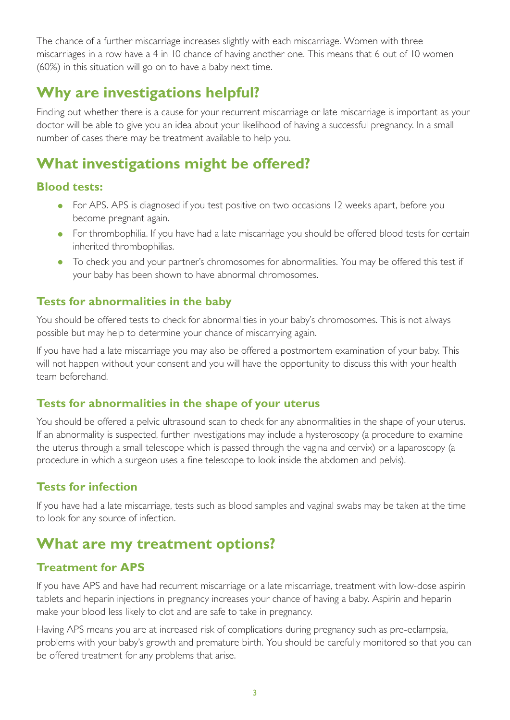The chance of a further miscarriage increases slightly with each miscarriage. Women with three miscarriages in a row have a 4 in 10 chance of having another one. This means that 6 out of 10 women (60%) in this situation will go on to have a baby next time.

# **Why are investigations helpful?**

Finding out whether there is a cause for your recurrent miscarriage or late miscarriage is important as your doctor will be able to give you an idea about your likelihood of having a successful pregnancy. In a small number of cases there may be treatment available to help you.

# **What investigations might be offered?**

## **Blood tests:**

- For APS. APS is diagnosed if you test positive on two occasions 12 weeks apart, before you become pregnant again.
- For thrombophilia. If you have had a late miscarriage you should be offered blood tests for certain inherited thrombophilias.
- To check you and your partner's chromosomes for abnormalities. You may be offered this test if your baby has been shown to have abnormal chromosomes.

## **Tests for abnormalities in the baby**

You should be offered tests to check for abnormalities in your baby's chromosomes. This is not always possible but may help to determine your chance of miscarrying again.

If you have had a late miscarriage you may also be offered a postmortem examination of your baby. This will not happen without your consent and you will have the opportunity to discuss this with your health team beforehand.

## **Tests for abnormalities in the shape of your uterus**

You should be offered a pelvic ultrasound scan to check for any abnormalities in the shape of your uterus. If an abnormality is suspected, further investigations may include a hysteroscopy (a procedure to examine the uterus through a small telescope which is passed through the vagina and cervix) or a laparoscopy (a procedure in which a surgeon uses a fine telescope to look inside the abdomen and pelvis).

## **Tests for infection**

If you have had a late miscarriage, tests such as blood samples and vaginal swabs may be taken at the time to look for any source of infection.

# **What are my treatment options?**

## **Treatment for APS**

If you have APS and have had recurrent miscarriage or a late miscarriage, treatment with low-dose aspirin tablets and heparin injections in pregnancy increases your chance of having a baby. Aspirin and heparin make your blood less likely to clot and are safe to take in pregnancy.

Having APS means you are at increased risk of complications during pregnancy such as pre-eclampsia, problems with your baby's growth and premature birth. You should be carefully monitored so that you can be offered treatment for any problems that arise.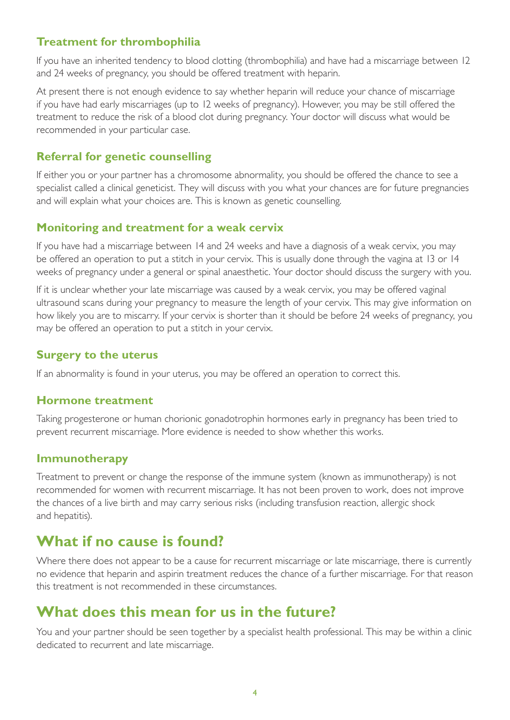## **Treatment for thrombophilia**

If you have an inherited tendency to blood clotting (thrombophilia) and have had a miscarriage between 12 and 24 weeks of pregnancy, you should be offered treatment with heparin.

At present there is not enough evidence to say whether heparin will reduce your chance of miscarriage if you have had early miscarriages (up to 12 weeks of pregnancy). However, you may be still offered the treatment to reduce the risk of a blood clot during pregnancy. Your doctor will discuss what would be recommended in your particular case.

## **Referral for genetic counselling**

If either you or your partner has a chromosome abnormality, you should be offered the chance to see a specialist called a clinical geneticist. They will discuss with you what your chances are for future pregnancies and will explain what your choices are. This is known as genetic counselling.

## **Monitoring and treatment for a weak cervix**

If you have had a miscarriage between 14 and 24 weeks and have a diagnosis of a weak cervix, you may be offered an operation to put a stitch in your cervix. This is usually done through the vagina at 13 or 14 weeks of pregnancy under a general or spinal anaesthetic. Your doctor should discuss the surgery with you.

If it is unclear whether your late miscarriage was caused by a weak cervix, you may be offered vaginal ultrasound scans during your pregnancy to measure the length of your cervix. This may give information on how likely you are to miscarry. If your cervix is shorter than it should be before 24 weeks of pregnancy, you may be offered an operation to put a stitch in your cervix.

## **Surgery to the uterus**

If an abnormality is found in your uterus, you may be offered an operation to correct this.

## **Hormone treatment**

Taking progesterone or human chorionic gonadotrophin hormones early in pregnancy has been tried to prevent recurrent miscarriage. More evidence is needed to show whether this works.

## **Immunotherapy**

Treatment to prevent or change the response of the immune system (known as immunotherapy) is not recommended for women with recurrent miscarriage. It has not been proven to work, does not improve the chances of a live birth and may carry serious risks (including transfusion reaction, allergic shock and hepatitis).

# **What if no cause is found?**

Where there does not appear to be a cause for recurrent miscarriage or late miscarriage, there is currently no evidence that heparin and aspirin treatment reduces the chance of a further miscarriage. For that reason this treatment is not recommended in these circumstances.

# **What does this mean for us in the future?**

You and your partner should be seen together by a specialist health professional. This may be within a clinic dedicated to recurrent and late miscarriage.